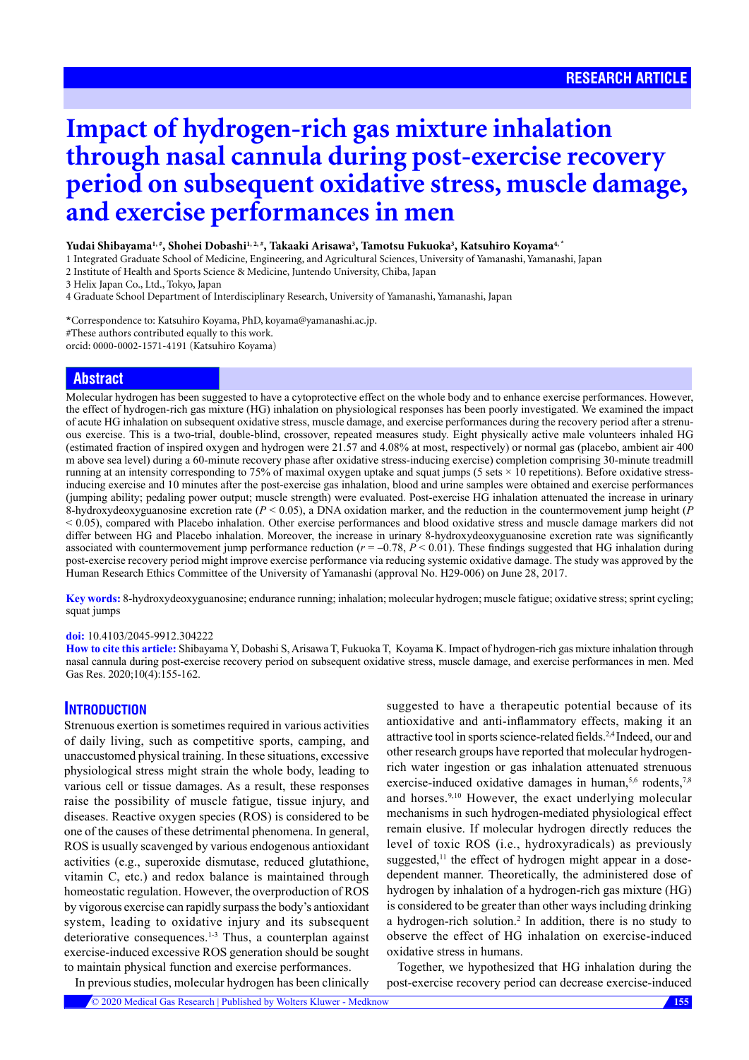# **Impact of hydrogen-rich gas mixture inhalation through nasal cannula during post-exercise recovery period on subsequent oxidative stress, muscle damage, and exercise performances in men**

#### **Yudai Shibayama1, #, Shohei Dobashi1, 2, #, Takaaki Arisawa3 , Tamotsu Fukuoka3 , Katsuhiro Koyama4,** \*

1 Integrated Graduate School of Medicine, Engineering, and Agricultural Sciences, University of Yamanashi, Yamanashi, Japan

2 Institute of Health and Sports Science & Medicine, Juntendo University, Chiba, Japan

3 Helix Japan Co., Ltd., Tokyo, Japan

4 Graduate School Department of Interdisciplinary Research, University of Yamanashi, Yamanashi, Japan

\*Correspondence to: Katsuhiro Koyama, PhD, koyama@yamanashi.ac.jp. #These authors contributed equally to this work. orcid: [0000-0002-1571-4191](http://orcid.org/0000-0002-1571-4191) (Katsuhiro Koyama)

## **Abstract**

Molecular hydrogen has been suggested to have a cytoprotective effect on the whole body and to enhance exercise performances. However, the effect of hydrogen-rich gas mixture (HG) inhalation on physiological responses has been poorly investigated. We examined the impact of acute HG inhalation on subsequent oxidative stress, muscle damage, and exercise performances during the recovery period after a strenuous exercise. This is a two-trial, double-blind, crossover, repeated measures study. Eight physically active male volunteers inhaled HG (estimated fraction of inspired oxygen and hydrogen were 21.57 and 4.08% at most, respectively) or normal gas (placebo, ambient air 400 m above sea level) during a 60-minute recovery phase after oxidative stress-inducing exercise) completion comprising 30-minute treadmill running at an intensity corresponding to 75% of maximal oxygen uptake and squat jumps (5 sets × 10 repetitions). Before oxidative stressinducing exercise and 10 minutes after the post-exercise gas inhalation, blood and urine samples were obtained and exercise performances (jumping ability; pedaling power output; muscle strength) were evaluated. Post-exercise HG inhalation attenuated the increase in urinary 8-hydroxydeoxyguanosine excretion rate (*P* < 0.05), a DNA oxidation marker, and the reduction in the countermovement jump height (*P* < 0.05), compared with Placebo inhalation. Other exercise performances and blood oxidative stress and muscle damage markers did not differ between HG and Placebo inhalation. Moreover, the increase in urinary 8-hydroxydeoxyguanosine excretion rate was significantly associated with countermovement jump performance reduction (*r* = –0.78, *P* < 0.01). These findings suggested that HG inhalation during post-exercise recovery period might improve exercise performance via reducing systemic oxidative damage. The study was approved by the Human Research Ethics Committee of the University of Yamanashi (approval No. H29-006) on June 28, 2017.

**Key words:** 8-hydroxydeoxyguanosine; endurance running; inhalation; molecular hydrogen; muscle fatigue; oxidative stress; sprint cycling; squat jumps

#### **doi:** 10.4103/2045-9912.304222

**How to cite this article:** Shibayama Y, Dobashi S, Arisawa T, Fukuoka T, Koyama K. Impact of hydrogen-rich gas mixture inhalation through nasal cannula during post-exercise recovery period on subsequent oxidative stress, muscle damage, and exercise performances in men. Med Gas Res. 2020;10(4):155-162.

## **INTRODUCTION**

Strenuous exertion is sometimes required in various activities of daily living, such as competitive sports, camping, and unaccustomed physical training. In these situations, excessive physiological stress might strain the whole body, leading to various cell or tissue damages. As a result, these responses raise the possibility of muscle fatigue, tissue injury, and diseases. Reactive oxygen species (ROS) is considered to be one of the causes of these detrimental phenomena. In general, ROS is usually scavenged by various endogenous antioxidant activities (e.g., superoxide dismutase, reduced glutathione, vitamin C, etc.) and redox balance is maintained through homeostatic regulation. However, the overproduction of ROS by vigorous exercise can rapidly surpass the body's antioxidant system, leading to oxidative injury and its subsequent deteriorative consequences. $1-3$  Thus, a counterplan against exercise-induced excessive ROS generation should be sought to maintain physical function and exercise performances.

suggested to have a therapeutic potential because of its antioxidative and anti-inflammatory effects, making it an attractive tool in sports science-related fields.2,4 Indeed, our and other research groups have reported that molecular hydrogenrich water ingestion or gas inhalation attenuated strenuous exercise-induced oxidative damages in human, $5,6$  rodents, $7,8$ and horses.9,10 However, the exact underlying molecular mechanisms in such hydrogen-mediated physiological effect remain elusive. If molecular hydrogen directly reduces the level of toxic ROS (i.e., hydroxyradicals) as previously suggested,<sup>11</sup> the effect of hydrogen might appear in a dosedependent manner. Theoretically, the administered dose of hydrogen by inhalation of a hydrogen-rich gas mixture (HG) is considered to be greater than other ways including drinking a hydrogen-rich solution.<sup>2</sup> In addition, there is no study to observe the effect of HG inhalation on exercise-induced oxidative stress in humans.

In previous studies, molecular hydrogen has been clinically

Together, we hypothesized that HG inhalation during the post-exercise recovery period can decrease exercise-induced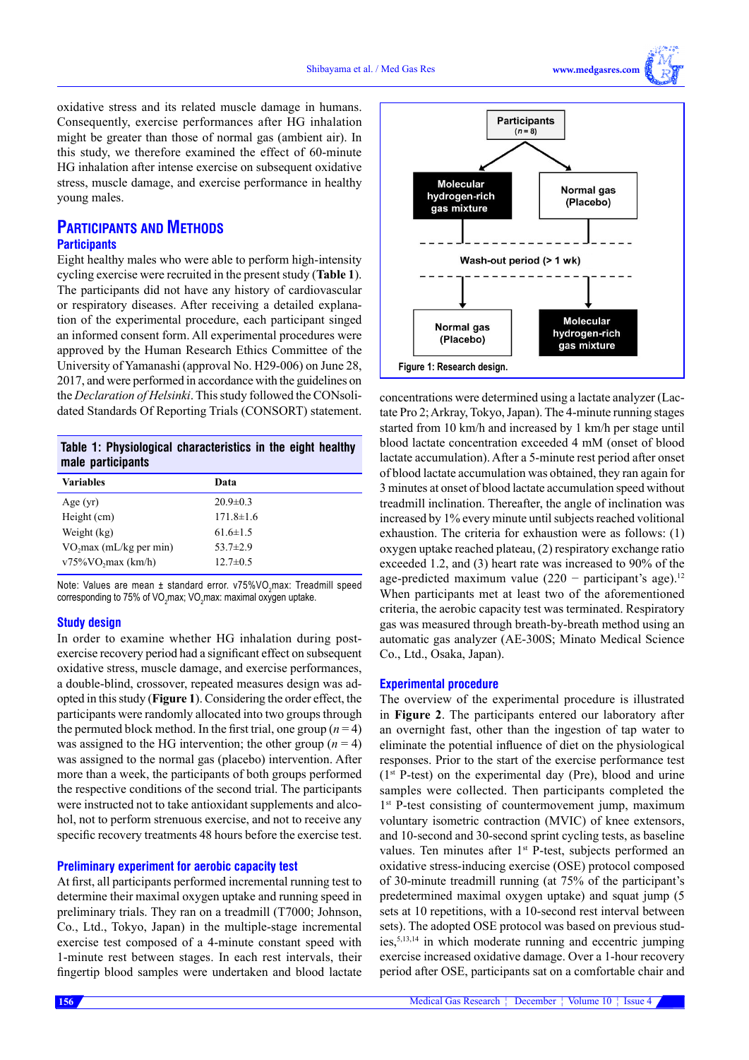**w.medgasres.com** 

oxidative stress and its related muscle damage in humans. Consequently, exercise performances after HG inhalation might be greater than those of normal gas (ambient air). In this study, we therefore examined the effect of 60-minute HG inhalation after intense exercise on subsequent oxidative stress, muscle damage, and exercise performance in healthy young males.

## **PARTICIPANTS AND METHODS Participants**

Eight healthy males who were able to perform high-intensity cycling exercise were recruited in the present study (**Table 1**). The participants did not have any history of cardiovascular or respiratory diseases. After receiving a detailed explanation of the experimental procedure, each participant singed an informed consent form. All experimental procedures were approved by the Human Research Ethics Committee of the University of Yamanashi (approval No. H29-006) on June 28, 2017, and were performed in accordance with the guidelines on the *Declaration of Helsinki*. This study followed the CONsolidated Standards Of Reporting Trials (CONSORT) statement.

|                   | Table 1: Physiological characteristics in the eight healthy |  |  |
|-------------------|-------------------------------------------------------------|--|--|
| male participants |                                                             |  |  |

| <b>Variables</b>                    | Data            |
|-------------------------------------|-----------------|
| Age $(yr)$                          | $20.9 \pm 0.3$  |
| Height (cm)                         | $171.8 \pm 1.6$ |
| Weight (kg)                         | $61.6 \pm 1.5$  |
| VO <sub>2</sub> max (mL/kg per min) | 53.7 $\pm$ 2.9  |
| $v75\%VO$ , max (km/h)              | $12.7 \pm 0.5$  |

Note: Values are mean ± standard error. v75%VO<sub>2</sub>max: Treadmill speed corresponding to 75% of VO $_2$ max; VO $_2$ max: maximal oxygen uptake.

## **Study design**

In order to examine whether HG inhalation during postexercise recovery period had a significant effect on subsequent oxidative stress, muscle damage, and exercise performances, a double-blind, crossover, repeated measures design was adopted in this study (**Figure 1**). Considering the order effect, the participants were randomly allocated into two groups through the permuted block method. In the first trial, one group  $(n = 4)$ was assigned to the HG intervention; the other group  $(n = 4)$ was assigned to the normal gas (placebo) intervention. After more than a week, the participants of both groups performed the respective conditions of the second trial. The participants were instructed not to take antioxidant supplements and alcohol, not to perform strenuous exercise, and not to receive any specific recovery treatments 48 hours before the exercise test.

### **Preliminary experiment for aerobic capacity test**

At first, all participants performed incremental running test to determine their maximal oxygen uptake and running speed in preliminary trials. They ran on a treadmill (T7000; Johnson, Co., Ltd., Tokyo, Japan) in the multiple-stage incremental exercise test composed of a 4-minute constant speed with 1-minute rest between stages. In each rest intervals, their fingertip blood samples were undertaken and blood lactate



concentrations were determined using a lactate analyzer (Lactate Pro 2; Arkray, Tokyo, Japan). The 4-minute running stages started from 10 km/h and increased by 1 km/h per stage until blood lactate concentration exceeded 4 mM (onset of blood lactate accumulation). After a 5-minute rest period after onset of blood lactate accumulation was obtained, they ran again for 3 minutes at onset of blood lactate accumulation speed without treadmill inclination. Thereafter, the angle of inclination was increased by 1% every minute until subjects reached volitional exhaustion. The criteria for exhaustion were as follows: (1) oxygen uptake reached plateau, (2) respiratory exchange ratio exceeded 1.2, and (3) heart rate was increased to 90% of the age-predicted maximum value  $(220 -$  participant's age).<sup>12</sup> When participants met at least two of the aforementioned criteria, the aerobic capacity test was terminated. Respiratory gas was measured through breath-by-breath method using an automatic gas analyzer (AE-300S; Minato Medical Science Co., Ltd., Osaka, Japan).

#### **Experimental procedure**

The overview of the experimental procedure is illustrated in **Figure 2**. The participants entered our laboratory after an overnight fast, other than the ingestion of tap water to eliminate the potential influence of diet on the physiological responses. Prior to the start of the exercise performance test  $(1<sup>st</sup> P-test)$  on the experimental day (Pre), blood and urine samples were collected. Then participants completed the 1<sup>st</sup> P-test consisting of countermovement jump, maximum voluntary isometric contraction (MVIC) of knee extensors, and 10-second and 30-second sprint cycling tests, as baseline values. Ten minutes after 1<sup>st</sup> P-test, subjects performed an oxidative stress-inducing exercise (OSE) protocol composed of 30-minute treadmill running (at 75% of the participant's predetermined maximal oxygen uptake) and squat jump (5 sets at 10 repetitions, with a 10-second rest interval between sets). The adopted OSE protocol was based on previous studies,5,13,14 in which moderate running and eccentric jumping exercise increased oxidative damage. Over a 1-hour recovery period after OSE, participants sat on a comfortable chair and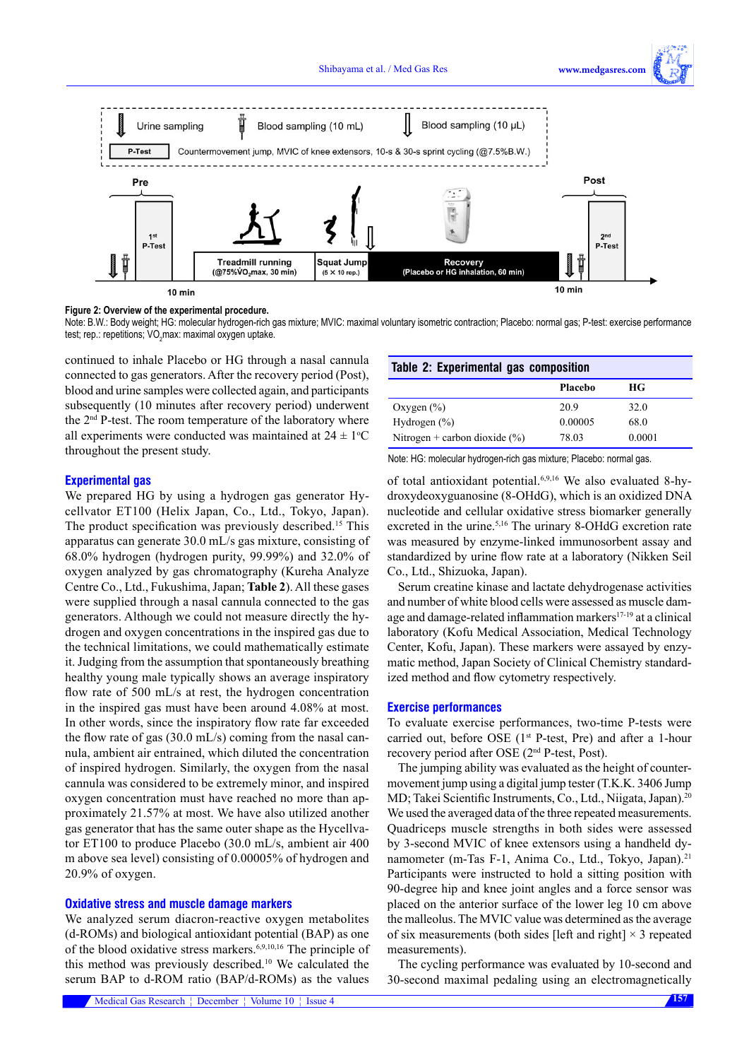

**Figure 2: Overview of the experimental procedure.**

Note: B.W.: Body weight; HG: molecular hydrogen-rich gas mixture; MVIC: maximal voluntary isometric contraction; Placebo: normal gas; P-test: exercise performance test; rep.: repetitions; VO $_2$ max: maximal oxygen uptake.

continued to inhale Placebo or HG through a nasal cannula connected to gas generators. After the recovery period (Post), blood and urine samples were collected again, and participants subsequently (10 minutes after recovery period) underwent the 2nd P-test. The room temperature of the laboratory where all experiments were conducted was maintained at  $24 \pm 1$ <sup>o</sup>C throughout the present study.

## **Table 2: Experimental gas composition**

|                                   | Placebo | НG     |
|-----------------------------------|---------|--------|
| Oxygen $(\% )$                    | 20.9    | 32.0   |
| Hydrogen $(\% )$                  | 0.00005 | 68.0   |
| Nitrogen + carbon dioxide $(\% )$ | 78.03   | 0.0001 |

Note: HG: molecular hydrogen-rich gas mixture; Placebo: normal gas.

**Experimental gas**

We prepared HG by using a hydrogen gas generator Hycellvator ET100 (Helix Japan, Co., Ltd., Tokyo, Japan). The product specification was previously described.<sup>15</sup> This apparatus can generate 30.0 mL/s gas mixture, consisting of 68.0% hydrogen (hydrogen purity, 99.99%) and 32.0% of oxygen analyzed by gas chromatography (Kureha Analyze Centre Co., Ltd., Fukushima, Japan; **Table 2**). All these gases were supplied through a nasal cannula connected to the gas generators. Although we could not measure directly the hydrogen and oxygen concentrations in the inspired gas due to the technical limitations, we could mathematically estimate it. Judging from the assumption that spontaneously breathing healthy young male typically shows an average inspiratory flow rate of 500 mL/s at rest, the hydrogen concentration in the inspired gas must have been around 4.08% at most. In other words, since the inspiratory flow rate far exceeded the flow rate of gas  $(30.0 \text{ mL/s})$  coming from the nasal cannula, ambient air entrained, which diluted the concentration of inspired hydrogen. Similarly, the oxygen from the nasal cannula was considered to be extremely minor, and inspired oxygen concentration must have reached no more than approximately 21.57% at most. We have also utilized another gas generator that has the same outer shape as the Hycellvator ET100 to produce Placebo (30.0 mL/s, ambient air 400 m above sea level) consisting of 0.00005% of hydrogen and 20.9% of oxygen.

## **Oxidative stress and muscle damage markers**

We analyzed serum diacron-reactive oxygen metabolites (d-ROMs) and biological antioxidant potential (BAP) as one of the blood oxidative stress markers.6,9,10,16 The principle of this method was previously described.10 We calculated the serum BAP to d-ROM ratio (BAP/d-ROMs) as the values of total antioxidant potential.6,9,16 We also evaluated 8-hydroxydeoxyguanosine (8-OHdG), which is an oxidized DNA nucleotide and cellular oxidative stress biomarker generally excreted in the urine.<sup>5,16</sup> The urinary 8-OHdG excretion rate was measured by enzyme-linked immunosorbent assay and standardized by urine flow rate at a laboratory (Nikken Seil Co., Ltd., Shizuoka, Japan).

Serum creatine kinase and lactate dehydrogenase activities and number of white blood cells were assessed as muscle damage and damage-related inflammation markers<sup>17-19</sup> at a clinical laboratory (Kofu Medical Association, Medical Technology Center, Kofu, Japan). These markers were assayed by enzymatic method, Japan Society of Clinical Chemistry standardized method and flow cytometry respectively.

### **Exercise performances**

To evaluate exercise performances, two-time P-tests were carried out, before OSE (1<sup>st</sup> P-test, Pre) and after a 1-hour recovery period after OSE (2nd P-test, Post).

The jumping ability was evaluated as the height of countermovement jump using a digital jump tester (T.K.K. 3406 Jump MD; Takei Scientific Instruments, Co., Ltd., Niigata, Japan).<sup>20</sup> We used the averaged data of the three repeated measurements. Quadriceps muscle strengths in both sides were assessed by 3-second MVIC of knee extensors using a handheld dynamometer (m-Tas F-1, Anima Co., Ltd., Tokyo, Japan).<sup>21</sup> Participants were instructed to hold a sitting position with 90-degree hip and knee joint angles and a force sensor was placed on the anterior surface of the lower leg 10 cm above the malleolus. The MVIC value was determined as the average of six measurements (both sides [left and right]  $\times$  3 repeated measurements).

The cycling performance was evaluated by 10-second and 30-second maximal pedaling using an electromagnetically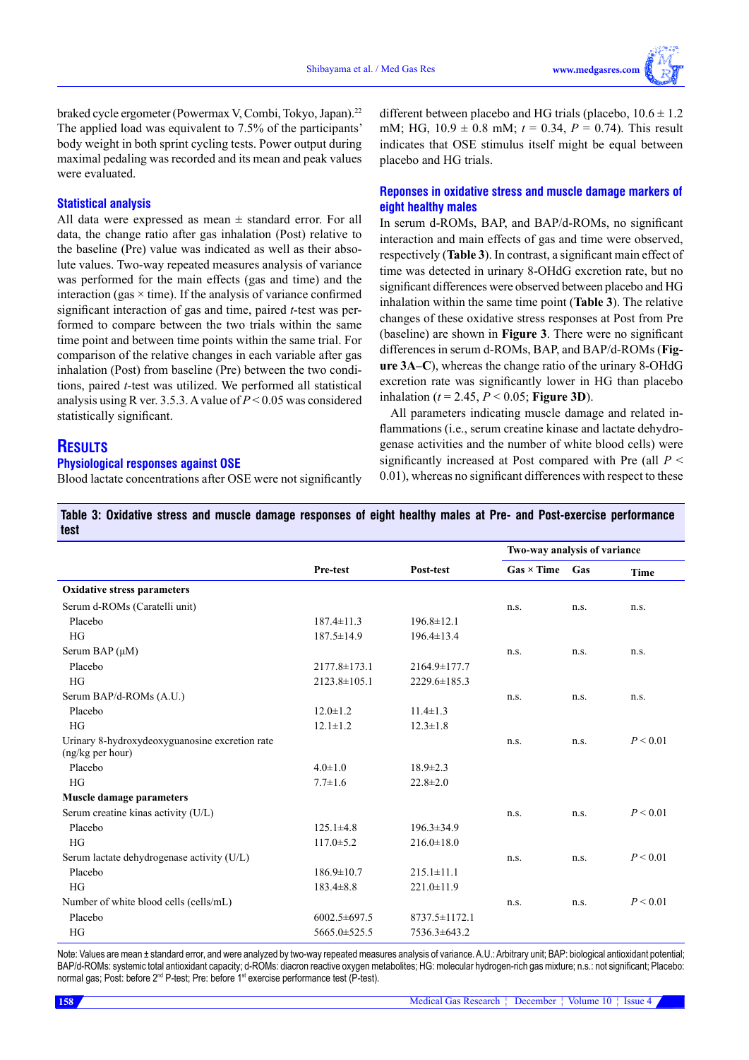braked cycle ergometer (Powermax V, Combi, Tokyo, Japan).<sup>22</sup> The applied load was equivalent to 7.5% of the participants' body weight in both sprint cycling tests. Power output during maximal pedaling was recorded and its mean and peak values were evaluated.

#### **Statistical analysis**

All data were expressed as mean  $\pm$  standard error. For all data, the change ratio after gas inhalation (Post) relative to the baseline (Pre) value was indicated as well as their absolute values. Two-way repeated measures analysis of variance was performed for the main effects (gas and time) and the interaction (gas  $\times$  time). If the analysis of variance confirmed significant interaction of gas and time, paired *t*-test was performed to compare between the two trials within the same time point and between time points within the same trial. For comparison of the relative changes in each variable after gas inhalation (Post) from baseline (Pre) between the two conditions, paired *t*-test was utilized. We performed all statistical analysis using R ver. 3.5.3. A value of *P* < 0.05 was considered statistically significant.

## **RESULTS**

#### **Physiological responses against OSE**

Blood lactate concentrations after OSE were not significantly

different between placebo and HG trials (placebo,  $10.6 \pm 1.2$ ) mM; HG, 10.9 ± 0.8 mM; *t* = 0.34, *P* = 0.74). This result indicates that OSE stimulus itself might be equal between placebo and HG trials.

## **Reponses in oxidative stress and muscle damage markers of eight healthy males**

In serum d-ROMs, BAP, and BAP/d-ROMs, no significant interaction and main effects of gas and time were observed, respectively (**Table 3**). In contrast, a significant main effect of time was detected in urinary 8-OHdG excretion rate, but no significant differences were observed between placebo and HG inhalation within the same time point (**Table 3**). The relative changes of these oxidative stress responses at Post from Pre (baseline) are shown in **Figure 3**. There were no significant differences in serum d-ROMs, BAP, and BAP/d-ROMs (**Figure 3A**–**C**), whereas the change ratio of the urinary 8-OHdG excretion rate was significantly lower in HG than placebo inhalation ( $t = 2.45$ ,  $P < 0.05$ ; **Figure 3D**).

All parameters indicating muscle damage and related inflammations (i.e., serum creatine kinase and lactate dehydrogenase activities and the number of white blood cells) were significantly increased at Post compared with Pre (all *P* < 0.01), whereas no significant differences with respect to these

## **Table 3: Oxidative stress and muscle damage responses of eight healthy males at Pre- and Post-exercise performance test**

|                                                                    |                    |                     | Two-way analysis of variance |      |          |
|--------------------------------------------------------------------|--------------------|---------------------|------------------------------|------|----------|
|                                                                    | Pre-test           | Post-test           | $Gas \times Time$            | Gas  | Time     |
| <b>Oxidative stress parameters</b>                                 |                    |                     |                              |      |          |
| Serum d-ROMs (Caratelli unit)                                      |                    |                     | n.s.                         | n.s. | n.s.     |
| Placebo                                                            | $187.4 \pm 11.3$   | $196.8 \pm 12.1$    |                              |      |          |
| <b>HG</b>                                                          | $187.5 \pm 14.9$   | $196.4 \pm 13.4$    |                              |      |          |
| Serum BAP $(\mu M)$                                                |                    |                     | n.s.                         | n.s. | n.s.     |
| Placebo                                                            | $2177.8 \pm 173.1$ | 2164.9±177.7        |                              |      |          |
| <b>HG</b>                                                          | $2123.8 \pm 105.1$ | 2229.6±185.3        |                              |      |          |
| Serum BAP/d-ROMs (A.U.)                                            |                    |                     | n.s.                         | n.s. | n.s.     |
| Placebo                                                            | $12.0 \pm 1.2$     | $11.4 \pm 1.3$      |                              |      |          |
| <b>HG</b>                                                          | $12.1 \pm 1.2$     | $12.3 \pm 1.8$      |                              |      |          |
| Urinary 8-hydroxydeoxyguanosine excretion rate<br>(ng/kg per hour) |                    |                     | n.s.                         | n.s. | P < 0.01 |
| Placebo                                                            | $4.0 \pm 1.0$      | $18.9 \pm 2.3$      |                              |      |          |
| HG                                                                 | $7.7 \pm 1.6$      | $22.8 \pm 2.0$      |                              |      |          |
| <b>Muscle damage parameters</b>                                    |                    |                     |                              |      |          |
| Serum creatine kinas activity (U/L)                                |                    |                     | n.s.                         | n.s. | P < 0.01 |
| Placebo                                                            | $125.1 \pm 4.8$    | $196.3 \pm 34.9$    |                              |      |          |
| <b>HG</b>                                                          | $117.0 \pm 5.2$    | $216.0 \pm 18.0$    |                              |      |          |
| Serum lactate dehydrogenase activity (U/L)                         |                    |                     | n.s.                         | n.s. | P < 0.01 |
| Placebo                                                            | $186.9 \pm 10.7$   | $215.1 \pm 11.1$    |                              |      |          |
| <b>HG</b>                                                          | $183.4 \pm 8.8$    | $221.0 \pm 11.9$    |                              |      |          |
| Number of white blood cells (cells/mL)                             |                    |                     | n.s.                         | n.s. | P < 0.01 |
| Placebo                                                            | $6002.5 \pm 697.5$ | $8737.5 \pm 1172.1$ |                              |      |          |
| HG                                                                 | 5665.0±525.5       | 7536.3±643.2        |                              |      |          |

Note: Values are mean ± standard error, and were analyzed by two-way repeated measures analysis of variance. A.U.: Arbitrary unit; BAP: biological antioxidant potential; BAP/d-ROMs: systemic total antioxidant capacity; d-ROMs: diacron reactive oxygen metabolites; HG: molecular hydrogen-rich gas mixture; n.s.: not significant; Placebo: normal gas; Post: before 2<sup>nd</sup> P-test; Pre: before 1<sup>st</sup> exercise performance test (P-test).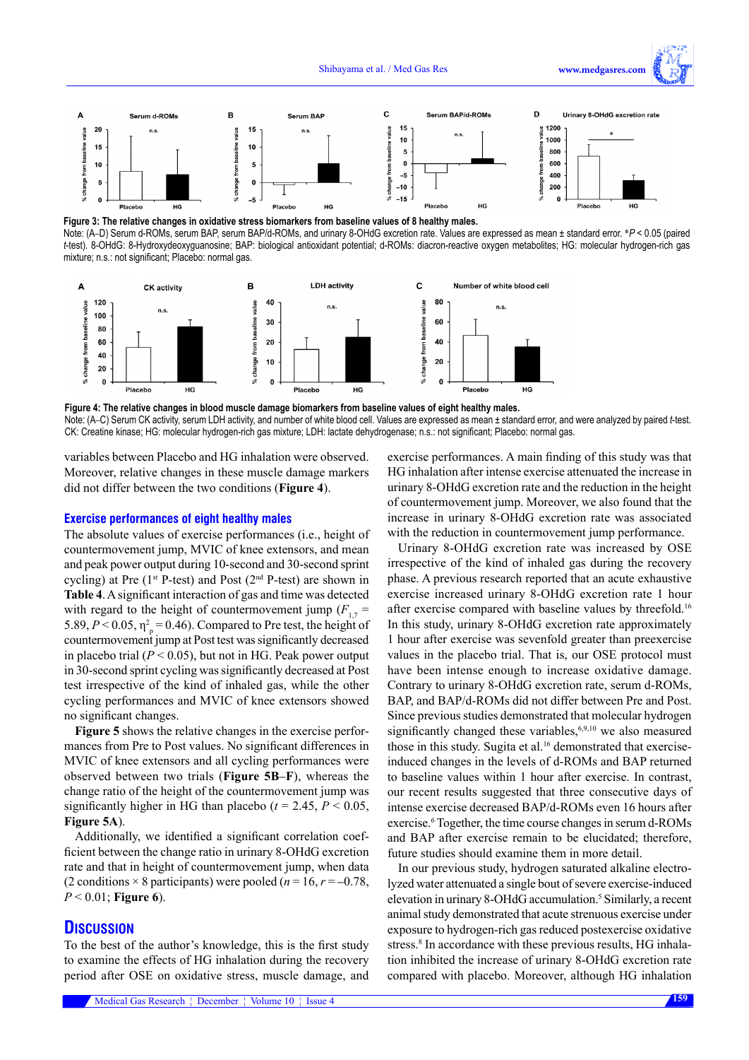

**Figure 3: The relative changes in oxidative stress biomarkers from baseline values of 8 healthy males.** Note: (A–D) Serum d-ROMs, serum BAP, serum BAP/d-ROMs, and urinary 8-OHdG excretion rate. Values are expressed as mean ± standard error. \*P < 0.05 (paired *t*-test). 8-OHdG: 8-Hydroxydeoxyguanosine; BAP: biological antioxidant potential; d-ROMs: diacron-reactive oxygen metabolites; HG: molecular hydrogen-rich gas mixture; n.s.: not significant; Placebo: normal gas.



**Figure 4: The relative changes in blood muscle damage biomarkers from baseline values of eight healthy males.** Note: (A–C) Serum CK activity, serum LDH activity, and number of white blood cell. Values are expressed as mean ± standard error, and were analyzed by paired *t*-test. CK: Creatine kinase; HG: molecular hydrogen-rich gas mixture; LDH: lactate dehydrogenase; n.s.: not significant; Placebo: normal gas.

variables between Placebo and HG inhalation were observed. Moreover, relative changes in these muscle damage markers did not differ between the two conditions (**Figure 4**).

#### **Exercise performances of eight healthy males**

The absolute values of exercise performances (i.e., height of countermovement jump, MVIC of knee extensors, and mean and peak power output during 10-second and 30-second sprint cycling) at Pre (1<sup>st</sup> P-test) and Post (2<sup>nd</sup> P-test) are shown in **Table 4**. A significant interaction of gas and time was detected with regard to the height of countermovement jump  $(F_{17} =$ 5.89,  $P < 0.05$ ,  $\eta_p^2 = 0.46$ ). Compared to Pre test, the height of countermovement jump at Post test was significantly decreased in placebo trial  $(P < 0.05)$ , but not in HG. Peak power output in 30-second sprint cycling was significantly decreased at Post test irrespective of the kind of inhaled gas, while the other cycling performances and MVIC of knee extensors showed no significant changes.

**Figure 5** shows the relative changes in the exercise performances from Pre to Post values. No significant differences in MVIC of knee extensors and all cycling performances were observed between two trials (**Figure 5B**–**F**), whereas the change ratio of the height of the countermovement jump was significantly higher in HG than placebo ( $t = 2.45$ ,  $P < 0.05$ , **Figure 5A**).

Additionally, we identified a significant correlation coefficient between the change ratio in urinary 8-OHdG excretion rate and that in height of countermovement jump, when data (2 conditions  $\times$  8 participants) were pooled ( $n = 16$ ,  $r = -0.78$ , *P* < 0.01; **Figure 6**).

## **DISCUSSION**

To the best of the author's knowledge, this is the first study to examine the effects of HG inhalation during the recovery period after OSE on oxidative stress, muscle damage, and exercise performances. A main finding of this study was that HG inhalation after intense exercise attenuated the increase in urinary 8-OHdG excretion rate and the reduction in the height of countermovement jump. Moreover, we also found that the increase in urinary 8-OHdG excretion rate was associated with the reduction in countermovement jump performance.

Urinary 8-OHdG excretion rate was increased by OSE irrespective of the kind of inhaled gas during the recovery phase. A previous research reported that an acute exhaustive exercise increased urinary 8-OHdG excretion rate 1 hour after exercise compared with baseline values by threefold.16 In this study, urinary 8-OHdG excretion rate approximately 1 hour after exercise was sevenfold greater than preexercise values in the placebo trial. That is, our OSE protocol must have been intense enough to increase oxidative damage. Contrary to urinary 8-OHdG excretion rate, serum d-ROMs, BAP, and BAP/d-ROMs did not differ between Pre and Post. Since previous studies demonstrated that molecular hydrogen significantly changed these variables, $6,9,10$  we also measured those in this study. Sugita et al.<sup>16</sup> demonstrated that exerciseinduced changes in the levels of d-ROMs and BAP returned to baseline values within 1 hour after exercise. In contrast, our recent results suggested that three consecutive days of intense exercise decreased BAP/d-ROMs even 16 hours after exercise.<sup>6</sup> Together, the time course changes in serum d-ROMs and BAP after exercise remain to be elucidated; therefore, future studies should examine them in more detail.

In our previous study, hydrogen saturated alkaline electrolyzed water attenuated a single bout of severe exercise-induced elevation in urinary 8-OHdG accumulation.<sup>5</sup> Similarly, a recent animal study demonstrated that acute strenuous exercise under exposure to hydrogen-rich gas reduced postexercise oxidative stress.<sup>8</sup> In accordance with these previous results, HG inhalation inhibited the increase of urinary 8-OHdG excretion rate compared with placebo. Moreover, although HG inhalation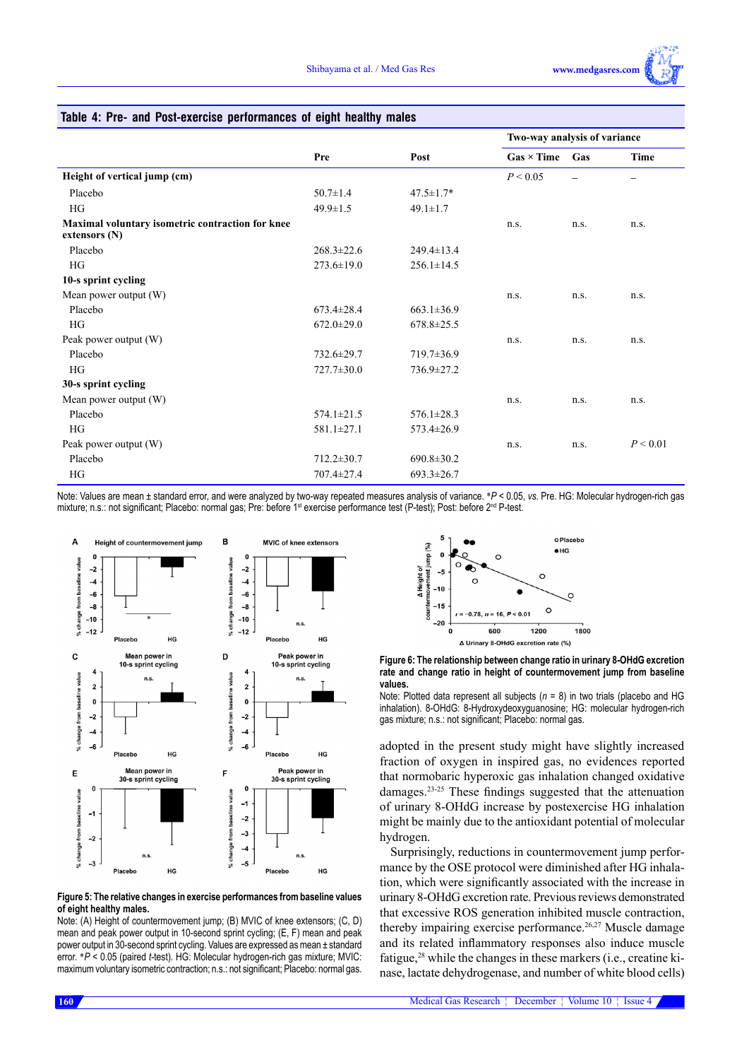## **Table 4: Pre- and Post-exercise performances of eight healthy males**

|                                                                     |                  |                  | Two-way analysis of variance |      |          |  |
|---------------------------------------------------------------------|------------------|------------------|------------------------------|------|----------|--|
|                                                                     | Pre              | Post             | $Gas \times Time$            | Gas  | Time     |  |
| Height of vertical jump (cm)                                        |                  |                  | P < 0.05                     |      |          |  |
| Placebo                                                             | $50.7 \pm 1.4$   | $47.5 \pm 1.7*$  |                              |      |          |  |
| <b>HG</b>                                                           | $49.9 \pm 1.5$   | $49.1 \pm 1.7$   |                              |      |          |  |
| Maximal voluntary isometric contraction for knee<br>extensors $(N)$ |                  |                  | n.S.                         | n.s. | n.s.     |  |
| Placebo                                                             | $268.3 \pm 22.6$ | $249.4 \pm 13.4$ |                              |      |          |  |
| HG                                                                  | $273.6 \pm 19.0$ | $256.1 \pm 14.5$ |                              |      |          |  |
| 10-s sprint cycling                                                 |                  |                  |                              |      |          |  |
| Mean power output (W)                                               |                  |                  | n.s.                         | n.s. | n.s.     |  |
| Placebo                                                             | $673.4 \pm 28.4$ | $663.1 \pm 36.9$ |                              |      |          |  |
| HG                                                                  | $672.0 \pm 29.0$ | $678.8 \pm 25.5$ |                              |      |          |  |
| Peak power output (W)                                               |                  |                  | n.s.                         | n.s. | n.s.     |  |
| Placebo                                                             | 732.6±29.7       | $719.7 \pm 36.9$ |                              |      |          |  |
| HG                                                                  | 727.7±30.0       | 736.9±27.2       |                              |      |          |  |
| 30-s sprint cycling                                                 |                  |                  |                              |      |          |  |
| Mean power output (W)                                               |                  |                  | n.S.                         | n.s. | n.s.     |  |
| Placebo                                                             | $574.1 \pm 21.5$ | $576.1 \pm 28.3$ |                              |      |          |  |
| HG                                                                  | 581.1±27.1       | $573.4 \pm 26.9$ |                              |      |          |  |
| Peak power output (W)                                               |                  |                  | n.s.                         | n.s. | P < 0.01 |  |
| Placebo                                                             | $712.2 \pm 30.7$ | $690.8 \pm 30.2$ |                              |      |          |  |
| HG                                                                  | 707.4±27.4       | $693.3 \pm 26.7$ |                              |      |          |  |

Note: Values are mean ± standard error, and were analyzed by two-way repeated measures analysis of variance. \**P* < 0.05, *vs*. Pre. HG: Molecular hydrogen-rich gas mixture; n.s.: not significant; Placebo: normal gas; Pre: before 1<sup>st</sup> exercise performance test (P-test); Post: before 2<sup>nd</sup> P-test.



#### **Figure 5: The relative changes in exercise performances from baseline values of eight healthy males.**

Note: (A) Height of countermovement jump; (B) MVIC of knee extensors; (C, D) mean and peak power output in 10-second sprint cycling; (E, F) mean and peak power output in 30-second sprint cycling. Values are expressed as mean ± standard error. \**P* < 0.05 (paired *t*-test). HG: Molecular hydrogen-rich gas mixture; MVIC: maximum voluntary isometric contraction; n.s.: not significant; Placebo: normal gas.



**Figure 6: The relationship between change ratio in urinary 8-OHdG excretion rate and change ratio in height of countermovement jump from baseline values.** 

Note: Plotted data represent all subjects (*n* = 8) in two trials (placebo and HG inhalation). 8-OHdG: 8-Hydroxydeoxyguanosine; HG: molecular hydrogen-rich gas mixture; n.s.: not significant; Placebo: normal gas.

adopted in the present study might have slightly increased fraction of oxygen in inspired gas, no evidences reported that normobaric hyperoxic gas inhalation changed oxidative damages.23-25 These findings suggested that the attenuation of urinary 8-OHdG increase by postexercise HG inhalation might be mainly due to the antioxidant potential of molecular hydrogen.

Surprisingly, reductions in countermovement jump performance by the OSE protocol were diminished after HG inhalation, which were significantly associated with the increase in urinary 8-OHdG excretion rate. Previous reviews demonstrated that excessive ROS generation inhibited muscle contraction, thereby impairing exercise performance.<sup>26,27</sup> Muscle damage and its related inflammatory responses also induce muscle fatigue,<sup>28</sup> while the changes in these markers (i.e., creatine kinase, lactate dehydrogenase, and number of white blood cells)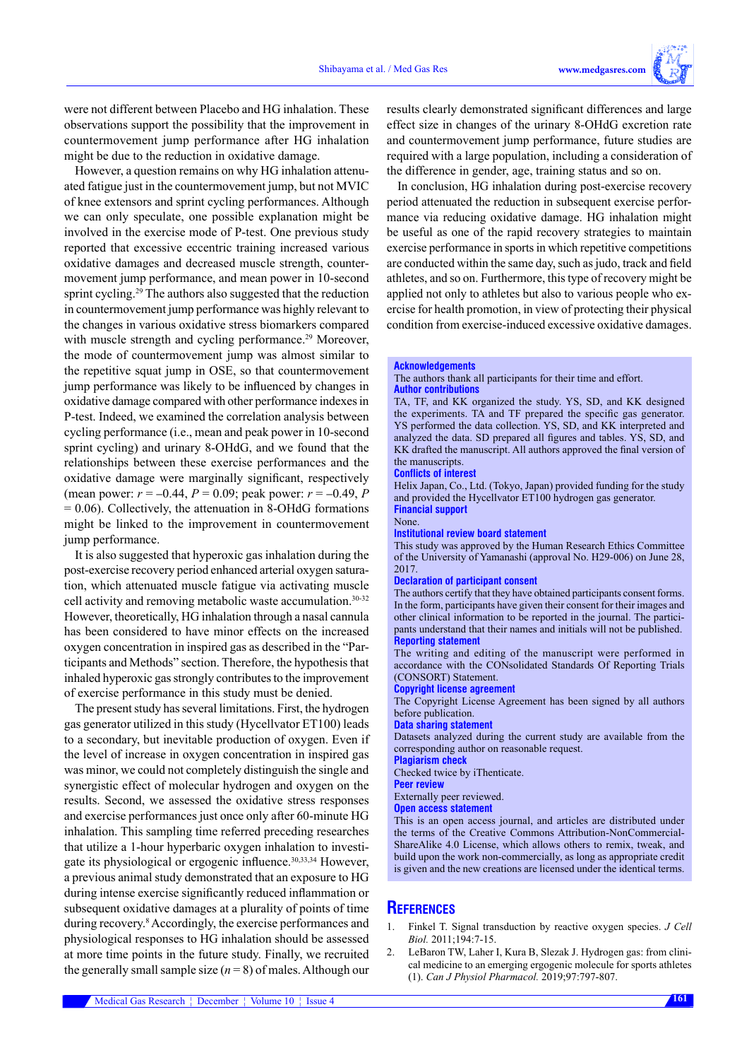were not different between Placebo and HG inhalation. These observations support the possibility that the improvement in countermovement jump performance after HG inhalation might be due to the reduction in oxidative damage.

However, a question remains on why HG inhalation attenuated fatigue just in the countermovement jump, but not MVIC of knee extensors and sprint cycling performances. Although we can only speculate, one possible explanation might be involved in the exercise mode of P-test. One previous study reported that excessive eccentric training increased various oxidative damages and decreased muscle strength, countermovement jump performance, and mean power in 10-second sprint cycling.<sup>29</sup> The authors also suggested that the reduction in countermovement jump performance was highly relevant to the changes in various oxidative stress biomarkers compared with muscle strength and cycling performance.<sup>29</sup> Moreover, the mode of countermovement jump was almost similar to the repetitive squat jump in OSE, so that countermovement jump performance was likely to be influenced by changes in oxidative damage compared with other performance indexes in P-test. Indeed, we examined the correlation analysis between cycling performance (i.e., mean and peak power in 10-second sprint cycling) and urinary 8-OHdG, and we found that the relationships between these exercise performances and the oxidative damage were marginally significant, respectively (mean power:  $r = -0.44$ ,  $P = 0.09$ ; peak power:  $r = -0.49$ , P  $= 0.06$ ). Collectively, the attenuation in 8-OHdG formations might be linked to the improvement in countermovement jump performance.

It is also suggested that hyperoxic gas inhalation during the post-exercise recovery period enhanced arterial oxygen saturation, which attenuated muscle fatigue via activating muscle cell activity and removing metabolic waste accumulation.30-32 However, theoretically, HG inhalation through a nasal cannula has been considered to have minor effects on the increased oxygen concentration in inspired gas as described in the "Participants and Methods" section. Therefore, the hypothesis that inhaled hyperoxic gas strongly contributes to the improvement of exercise performance in this study must be denied.

The present study has several limitations. First, the hydrogen gas generator utilized in this study (Hycellvator ET100) leads to a secondary, but inevitable production of oxygen. Even if the level of increase in oxygen concentration in inspired gas was minor, we could not completely distinguish the single and synergistic effect of molecular hydrogen and oxygen on the results. Second, we assessed the oxidative stress responses and exercise performances just once only after 60-minute HG inhalation. This sampling time referred preceding researches that utilize a 1-hour hyperbaric oxygen inhalation to investigate its physiological or ergogenic influence.<sup>30,33,34</sup> However, a previous animal study demonstrated that an exposure to HG during intense exercise significantly reduced inflammation or subsequent oxidative damages at a plurality of points of time during recovery.<sup>8</sup> Accordingly, the exercise performances and physiological responses to HG inhalation should be assessed at more time points in the future study. Finally, we recruited the generally small sample size (*n* = 8) of males. Although our

results clearly demonstrated significant differences and large effect size in changes of the urinary 8-OHdG excretion rate and countermovement jump performance, future studies are required with a large population, including a consideration of the difference in gender, age, training status and so on.

In conclusion, HG inhalation during post-exercise recovery period attenuated the reduction in subsequent exercise performance via reducing oxidative damage. HG inhalation might be useful as one of the rapid recovery strategies to maintain exercise performance in sports in which repetitive competitions are conducted within the same day, such as judo, track and field athletes, and so on. Furthermore, this type of recovery might be applied not only to athletes but also to various people who exercise for health promotion, in view of protecting their physical condition from exercise-induced excessive oxidative damages.

#### **Acknowledgements**

#### The authors thank all participants for their time and effort. **Author contributions**

TA, TF, and KK organized the study. YS, SD, and KK designed the experiments. TA and TF prepared the specific gas generator. YS performed the data collection. YS, SD, and KK interpreted and analyzed the data. SD prepared all figures and tables. YS, SD, and KK drafted the manuscript. All authors approved the final version of the manuscripts.

#### **Conflicts of interest**

Helix Japan, Co., Ltd. (Tokyo, Japan) provided funding for the study and provided the Hycellvator ET100 hydrogen gas generator. **Financial support**

#### None.

#### **Institutional review board statement**

This study was approved by the Human Research Ethics Committee of the University of Yamanashi (approval No. H29-006) on June 28, 2017.

#### **Declaration of participant consent**

The authors certify that they have obtained participants consent forms. In the form, participants have given their consent for their images and other clinical information to be reported in the journal. The participants understand that their names and initials will not be published. **Reporting statement**

The writing and editing of the manuscript were performed in accordance with the CONsolidated Standards Of Reporting Trials (CONSORT) Statement.

#### **Copyright license agreement**

The Copyright License Agreement has been signed by all authors before publication.

#### **Data sharing statement**

Datasets analyzed during the current study are available from the corresponding author on reasonable request.

#### **Plagiarism check**

Checked twice by iThenticate.

**Peer review**

#### Externally peer reviewed.

#### **Open access statement**

This is an open access journal, and articles are distributed under the terms of the Creative Commons Attribution-NonCommercial-ShareAlike 4.0 License, which allows others to remix, tweak, and build upon the work non-commercially, as long as appropriate credit is given and the new creations are licensed under the identical terms.

## **References**

- 1. Finkel T. Signal transduction by reactive oxygen species. *J Cell Biol.* 2011;194:7-15.
- 2. LeBaron TW, Laher I, Kura B, Slezak J. Hydrogen gas: from clinical medicine to an emerging ergogenic molecule for sports athletes (1). *Can J Physiol Pharmacol.* 2019;97:797-807.